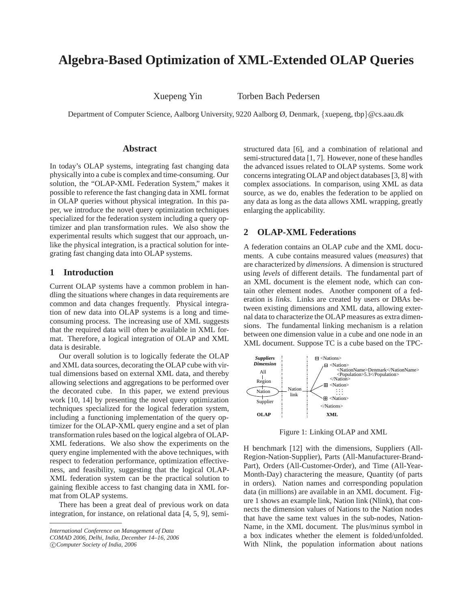# **Algebra-Based Optimization of XML-Extended OLAP Queries**

Xuepeng Yin Torben Bach Pedersen

Department of Computer Science, Aalborg University, 9220 Aalborg Ø, Denmark, {xuepeng, tbp}@cs.aau.dk

# **Abstract**

In today's OLAP systems, integrating fast changing data physically into a cube is complex and time-consuming. Our solution, the "OLAP-XML Federation System," makes it possible to reference the fast changing data in XML format in OLAP queries without physical integration. In this paper, we introduce the novel query optimization techniques specialized for the federation system including a query optimizer and plan transformation rules. We also show the experimental results which suggest that our approach, unlike the physical integration, is a practical solution for integrating fast changing data into OLAP systems.

# **1 Introduction**

Current OLAP systems have a common problem in handling the situations where changes in data requirements are common and data changes frequently. Physical integration of new data into OLAP systems is a long and timeconsuming process. The increasing use of XML suggests that the required data will often be available in XML format. Therefore, a logical integration of OLAP and XML data is desirable.

Our overall solution is to logically federate the OLAP and XML data sources, decorating the OLAP cube with virtual dimensions based on external XML data, and thereby allowing selections and aggregations to be performed over the decorated cube. In this paper, we extend previous work [10, 14] by presenting the novel query optimization techniques specialized for the logical federation system, including a functioning implementation of the query optimizer for the OLAP-XML query engine and a set of plan transformation rules based on the logical algebra of OLAP-XML federations. We also show the experiments on the query engine implemented with the above techniques, with respect to federation performance, optimization effectiveness, and feasibility, suggesting that the logical OLAP-XML federation system can be the practical solution to gaining flexible access to fast changing data in XML format from OLAP systems.

There has been a great deal of previous work on data integration, for instance, on relational data [4, 5, 9], semi-

c *Computer Society of India, 2006*

structured data [6], and a combination of relational and semi-structured data [1, 7]. However, none of these handles the advanced issues related to OLAP systems. Some work concerns integrating OLAP and object databases [3, 8] with complex associations. In comparison, using XML as data source, as we do, enables the federation to be applied on any data as long as the data allows XML wrapping, greatly enlarging the applicability.

# **2 OLAP-XML Federations**

A federation contains an OLAP *cube* and the XML documents. A cube contains measured values (*measures*) that are characterized by *dimensions*. A dimension is structured using *levels* of different details. The fundamental part of an XML document is the element node, which can contain other element nodes. Another component of a federation is *links*. Links are created by users or DBAs between existing dimensions and XML data, allowing external data to characterize the OLAP measures as extra dimensions. The fundamental linking mechanism is a relation between one dimension value in a cube and one node in an XML document. Suppose TC is a cube based on the TPC-



Figure 1: Linking OLAP and XML

H benchmark [12] with the dimensions, Suppliers (All-Region-Nation-Supplier), Parts (All-Manufacturer-Brand-Part), Orders (All-Customer-Order), and Time (All-Year-Month-Day) charactering the measure, Quantity (of parts in orders). Nation names and corresponding population data (in millions) are available in an XML document. Figure 1 shows an example link, Nation link (Nlink), that connects the dimension values of Nations to the Nation nodes that have the same text values in the sub-nodes, Nation-Name, in the XML document. The plus/minus symbol in a box indicates whether the element is folded/unfolded. With Nlink, the population information about nations

*International Conference on Management of Data*

*COMAD 2006, Delhi, India, December 14–16, 2006*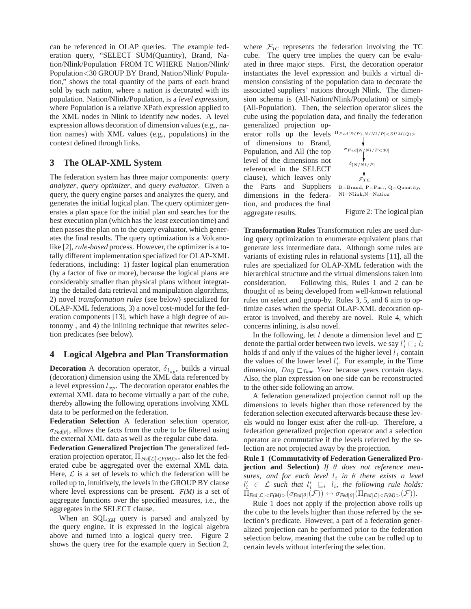can be referenced in OLAP queries. The example federation query, "SELECT SUM(Quantity), Brand, Nation/Nlink/Population FROM TC WHERE Nation/Nlink/ Population<30 GROUP BY Brand, Nation/Nlink/ Population," shows the total quantity of the parts of each brand sold by each nation, where a nation is decorated with its population. Nation/Nlink/Population, is a *level expression*, where Population is a relative XPath expression applied to the XML nodes in Nlink to identify new nodes. A level expression allows decoration of dimension values (e.g., nation names) with XML values (e.g., populations) in the context defined through links.

# **3 The OLAP-XML System**

The federation system has three major components: *query analyzer*, *query optimizer*, and *query evaluator*. Given a query, the query engine parses and analyzes the query, and generates the initial logical plan. The query optimizer generates a plan space for the initial plan and searches for the best execution plan (which has the least execution time) and then passes the plan on to the query evaluator, which generates the final results. The query optimization is a Volcanolike [2], *rule-based* process. However, the optimizer is a totally different implementation specialized for OLAP-XML federations, including: 1) faster logical plan enumeration (by a factor of five or more), because the logical plans are considerably smaller than physical plans without integrating the detailed data retrieval and manipulation algorithms, 2) novel *transformation rules* (see below) specialized for OLAP-XML federations, 3) a novel cost-model for the federation components [13], which have a high degree of autonomy , and 4) the inlining technique that rewrites selection predicates (see below).

## **4 Logical Algebra and Plan Transformation**

**Decoration** A decoration operator,  $\delta_{l_{xp}}$ , builds a virtual (decoration) dimension using the XML data referenced by a level expression  $l_{xp}$ . The decoration operator enables the external XML data to become virtually a part of the cube, thereby allowing the following operations involving XML data to be performed on the federation.

**Federation Selection** A federation selection operator,  $\sigma_{Fed}(\theta)$ , allows the facts from the cube to be filtered using the external XML data as well as the regular cube data.

**Federation Generalized Projection** The generalized federation projection operator, Π*Fed*[L]<*F(M)*<sup>&</sup>gt;, also let the federated cube be aggregated over the external XML data. Here,  $\mathcal L$  is a set of levels to which the federation will be rolled up to, intuitively, the levels in the GROUP BY clause where level expressions can be present. *F(M)* is a set of aggregate functions over the specified measures, i.e., the aggregates in the SELECT clause.

When an SQL*XM* query is parsed and analyzed by the query engine, it is expressed in the logical algebra above and turned into a logical query tree. Figure 2 shows the query tree for the example query in Section 2,

where  $\mathcal{F}_{TC}$  represents the federation involving the TC cube. The query tree implies the query can be evaluated in three major steps. First, the decoration operator instantiates the level expression and builds a virtual dimension consisting of the population data to decorate the associated suppliers' nations through Nlink. The dimension schema is (All-Nation/Nlink/Population) or simply (All-Population). Then, the selection operator slices the cube using the population data, and finally the federation generalized projection op-

erator rolls up the levels  $^{\Pi_{Fed[B(P), N/NI/P] < SUM(Q)>}}$ of dimensions to Brand, Population, and All (the top level of the dimensions not referenced in the SELECT clause), which leaves only the Parts and Suppliers dimensions in the federation, and produces the final aggregate results.

$$
\sigma_{Fed[N/Nl/P<30]} \\ \delta_{[N/Nl/P]} \\ \hspace*{1.5in} \\ \sigma_{TC} \\ \text{B=Brand, P=Part, Q=Quantity, N=Nilink,N=Nation}
$$

Figure 2: The logical plan

**Transformation Rules** Transformation rules are used during query optimization to enumerate equivalent plans that generate less intermediate data. Although some rules are variants of existing rules in relational systems [11], all the rules are specialized for OLAP-XML federation with the hierarchical structure and the virtual dimensions taken into consideration. Following this, Rules 1 and 2 can be thought of as being developed from well-known relational rules on select and group-by. Rules 3, 5, and 6 aim to optimize cases when the special OLAP-XML decoration operator is involved, and thereby are novel. Rule 4, which concerns inlining, is also novel.

In the following, let l denote a dimension level and  $\Box$ denote the partial order between two levels. we say  $l'_i \sqsubset_i l_i$ holds if and only if the values of the higher level  $l_i$  contain the values of the lower level  $l_i'$ . For example, in the Time dimension, *Day Time Year* because years contain days. Also, the plan expression on one side can be reconstructed to the other side following an arrow.

A federation generalized projection cannot roll up the dimensions to levels higher than those referenced by the federation selection executed afterwards because these levels would no longer exist after the roll-up. Therefore, a federation generalized projection operator and a selection operator are commutative if the levels referred by the selection are not projected away by the projection.

**Rule 1 (Commutativity of Federation Generalized Projection and Selection)** *If* θ *does not reference measures, and for each level*  $l_i$  *in*  $\theta$  *there exists a level*  $l'_i \in \mathcal{L}$  such that  $l'_i \subseteq_i l_i$ , the following rule holds:  $\Pi_{\text{Fed}[\mathcal{L}] < \text{F}(M) > (\sigma_{\text{Fed}[\theta]}(\mathcal{F})) \leftrightarrow \sigma_{\text{Fed}[\theta]}(\Pi_{\text{Fed}[\mathcal{L}] < \text{F}(M) > (\mathcal{F})).}$ 

Rule 1 does not apply if the projection above rolls up the cube to the levels higher than those referred by the selection's predicate. However, a part of a federation generalized projection can be performed prior to the federation selection below, meaning that the cube can be rolled up to certain levels without interfering the selection.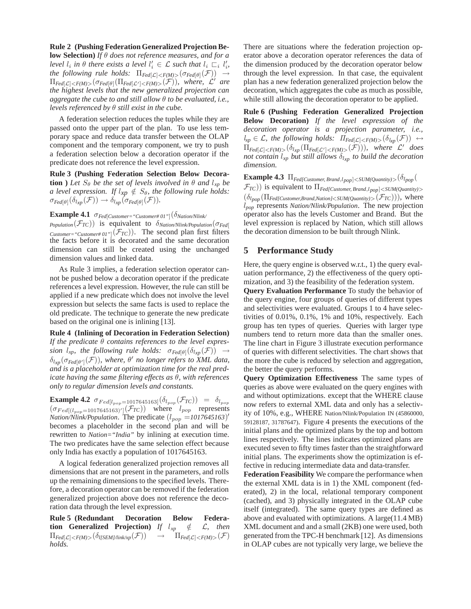#### **Rule 2 (Pushing Federation Generalized Projection Be-**

**low Selection)** *If* θ *does not reference measures, and for a level*  $l_i$  *in*  $\theta$  *there exists a level*  $l'_i \in \mathcal{L}$  *such that*  $l_i \sqsubset_i l'_i$ , *the following rule holds:*  $\Pi_{Fed}[\mathcal{L}] < F(M) > (\sigma_{Fed}[\theta](\mathcal{F})) \rightarrow$  $\Pi_{Fed[\mathcal{L}] < F(M) > (\sigma_{Fed[\theta]}(\Pi_{Fed[\mathcal{L}'] < F(M)) < (\mathcal{F}))}$ *, where,*  $\mathcal{L}'$  are *the highest levels that the new generalized projection can aggregate the cube to and still allow* θ *to be evaluated, i.e., levels referenced by* θ *still exist in the cube.*

A federation selection reduces the tuples while they are passed onto the upper part of the plan. To use less temporary space and reduce data transfer between the OLAP component and the temporary component, we try to push a federation selection below a decoration operator if the predicate does not reference the level expression.

**Rule 3 (Pushing Federation Selection Below Decoration** ) Let  $S_\theta$  be the set of levels involved in  $\theta$  and  $l_{xp}$  be *a level expression. If*  $l_{xp} \notin S_\theta$ *, the following rule holds:*  $\sigma_{Fed[\theta]}(\delta_{l_{xp}}(\mathcal{F})) \rightarrow \delta_{l_{xp}}(\sigma_{Fed[\theta]}(\mathcal{F})).$ 

**Example 4.1** σ*Fed*[*Customer="Customer# 01"*](δ*Nation/Nlink/*

*Population* $(\mathcal{F}_{TC})$ ) is equivalent to  $\delta_{National/Nlink/Population}(\sigma_{Fed}$ *Customer="Customer#01"* $(\mathcal{F}_{TC})$ ). The second plan first filters the facts before it is decorated and the same decoration dimension can still be created using the unchanged dimension values and linked data.

As Rule 3 implies, a federation selection operator cannot be pushed below a decoration operator if the predicate references a level expression. However, the rule can still be applied if a new predicate which does not involve the level expression but selects the same facts is used to replace the old predicate. The technique to generate the new predicate based on the original one is inlining [13].

**Rule 4 (Inlining of Decoration in Federation Selection)** *If the predicate* θ *contains references to the level expression*  $l_{xp}$ , the following rule holds:  $\sigma_{Fed[\theta]}(\delta_{lxp}(\mathcal{F})) \rightarrow$  $\delta_{l_{\text{xn}}}(\sigma_{\text{Fed}[\theta']}(\mathcal{F}))$ *, where,*  $\theta'$  *no longer refers to XML data, and is a placeholder at optimization time for the real predicate having the same filtering effects as* θ*, with references only to regular dimension levels and constants.*

**Example 4.2**  $\sigma_{Fed[l_{pop}=1017645163]}(\delta_{l_{pop}}(\mathcal{F}_{TC})) = \delta_{l_{pop}}$  $(\sigma_{Fed[(l_{pop}=1017645163)']}(\mathcal{F}_{TC}))$  where  $l_{pop}$  represents *Nation/Nlink/Population.* The predicate  $(l_{pop} = 1017645163)'$ becomes a placeholder in the second plan and will be rewritten to *Nation="India"* by inlining at execution time. The two predicates have the same selection effect because only India has exactly a population of 1017645163.

A logical federation generalized projection removes all dimensions that are not present in the parameters, and rolls up the remaining dimensions to the specified levels. Therefore, a decoration operator can be removed if the federation generalized projection above does not reference the decoration data through the level expression.

**Rule 5 (Redundant Decoration Below Federation Generalized Projection**) *If*  $l_{xp} \notin L$ , then  $\Pi_{Fed[\mathcal{L}] < F(M) > (\delta_{l[SEM/link/xp]}(\mathcal{F})) \rightarrow \Pi_{Fed[\mathcal{L}] < F(M) > (\mathcal{F})}$ *holds.*

There are situations where the federation projection operator above a decoration operator references the data of the dimension produced by the decoration operator below through the level expression. In that case, the equivalent plan has a new federation generalized projection below the decoration, which aggregates the cube as much as possible, while still allowing the decoration operator to be applied.

**Rule 6 (Pushing Federation Generalized Projection Below Decoration)** *If the level expression of the decoration operator is a projection parameter, i.e.,*  $l_{xp} \in \mathcal{L}$ *, the following holds:*  $\Pi_{\text{Fed}[\mathcal{L}] < F(M) > (\delta_{\text{Lip}}(\mathcal{F})) \leftrightarrow$  $\Pi_{\text{Fed}[\mathcal{L}] < F(M) > (\delta_{lxp}(\Pi_{\text{Fed}[\mathcal{L}'] < F(M) > (\mathcal{F})))$ *, where*  $\mathcal{L}'$  does *not contain*  $l_{xp}$  *but still allows*  $\delta_{l_{xp}}$  *to build the decoration dimension.*

**Example 4.3**  $\Pi_{Fed(Customer, Brand, l_{pop}) \leq SUM(Quantity) > (\delta_{l_{pop}}($ F*TC*)) is equivalent to Π*Fed[Customer, Brand*,l*pop*]<*SUM(Quantity)*<sup>&</sup>gt;  $(\delta_{l_{pop}}(\Pi_{Fed{Customer,Brand,National{<}SUM(Quantity)>}(\mathcal{F}_{TC}))),$  where l*pop* represents *Nation/Nlink/Population*. The new projection operator also has the levels Customer and Brand. But the level expression is replaced by Nation, which still allows the decoration dimension to be built through Nlink.

# **5 Performance Study**

Here, the query engine is observed w.r.t., 1) the query evaluation performance, 2) the effectiveness of the query optimization, and 3) the feasibility of the federation system.

**Query Evaluation Performance** To study the behavior of the query engine, four groups of queries of different types and selectivities were evaluated. Groups 1 to 4 have selectivities of 0.01%, 0.1%, 1% and 10%, respectively. Each group has ten types of queries. Queries with larger type numbers tend to return more data than the smaller ones. The line chart in Figure 3 illustrate execution performance of queries with different selectivities. The chart shows that the more the cube is reduced by selection and aggregation, the better the query performs.

**Query Optimization Effectiveness** The same types of queries as above were evaluated on the query engines with and without optimizations. except that the WHERE clause now refers to external XML data and only has a selectivity of 10%, e.g., WHERE Nation/Nlink/Population IN (45860000, 59128187, 31787647). Figure 4 presents the executions of the initial plans and the optimized plans by the top and bottom lines respectively. The lines indicates optimized plans are executed seven to fifty times faster than the straightforward initial plans. The experiments show the optimization is effective in reducing intermediate data and data-transfer.

**Federation Feasibility** We compare the performance when the external XML data is in 1) the XML component (federated), 2) in the local, relational temporary component (cached), and 3) physically integrated in the OLAP cube itself (integrated). The same query types are defined as above and evaluated with optimizations. A large(11.4 MB) XML document and and a small (2KB) one were used, both generated from the TPC-H benchmark [12]. As dimensions in OLAP cubes are not typically very large, we believe the